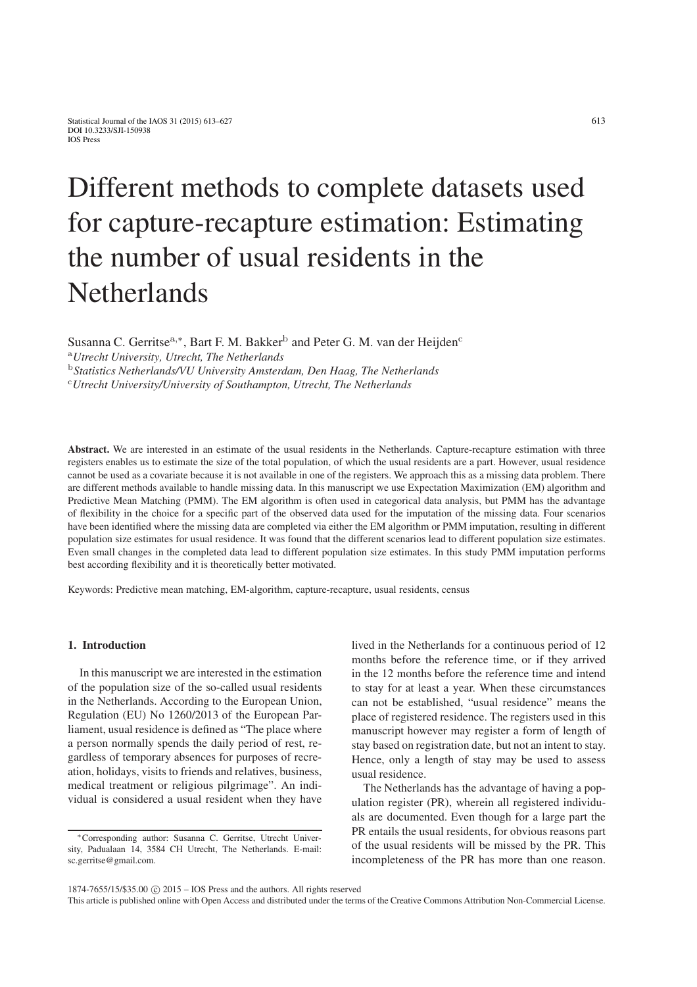# Different methods to complete datasets used for capture-recapture estimation: Estimating the number of usual residents in the **Netherlands**

Susanna C. Gerritse<sup>a,∗</sup>, Bart F. M. Bakker<sup>b</sup> and Peter G. M. van der Heijden<sup>c</sup> <sup>a</sup>*Utrecht University, Utrecht, The Netherlands* <sup>b</sup>*Statistics Netherlands/VU University Amsterdam, Den Haag, The Netherlands* <sup>c</sup>*Utrecht University/University of Southampton, Utrecht, The Netherlands*

Abstract. We are interested in an estimate of the usual residents in the Netherlands. Capture-recapture estimation with three registers enables us to estimate the size of the total population, of which the usual residents are a part. However, usual residence cannot be used as a covariate because it is not available in one of the registers. We approach this as a missing data problem. There are different methods available to handle missing data. In this manuscript we use Expectation Maximization (EM) algorithm and Predictive Mean Matching (PMM). The EM algorithm is often used in categorical data analysis, but PMM has the advantage of flexibility in the choice for a specific part of the observed data used for the imputation of the missing data. Four scenarios have been identified where the missing data are completed via either the EM algorithm or PMM imputation, resulting in different population size estimates for usual residence. It was found that the different scenarios lead to different population size estimates. Even small changes in the completed data lead to different population size estimates. In this study PMM imputation performs best according flexibility and it is theoretically better motivated.

Keywords: Predictive mean matching, EM-algorithm, capture-recapture, usual residents, census

## 1. Introduction

In this manuscript we are interested in the estimation of the population size of the so-called usual residents in the Netherlands. According to the European Union, Regulation (EU) No 1260/2013 of the European Parliament, usual residence is defined as "The place where a person normally spends the daily period of rest, regardless of temporary absences for purposes of recreation, holidays, visits to friends and relatives, business, medical treatment or religious pilgrimage". An individual is considered a usual resident when they have lived in the Netherlands for a continuous period of 12 months before the reference time, or if they arrived in the 12 months before the reference time and intend to stay for at least a year. When these circumstances can not be established, "usual residence" means the place of registered residence. The registers used in this manuscript however may register a form of length of stay based on registration date, but not an intent to stay. Hence, only a length of stay may be used to assess usual residence.

The Netherlands has the advantage of having a population register (PR), wherein all registered individuals are documented. Even though for a large part the PR entails the usual residents, for obvious reasons part of the usual residents will be missed by the PR. This incompleteness of the PR has more than one reason.

<sup>∗</sup>Corresponding author: Susanna C. Gerritse, Utrecht University, Padualaan 14, 3584 CH Utrecht, The Netherlands. E-mail: sc.gerritse@gmail.com.

<sup>1874-7655/15/\$35.00 © 2015 -</sup> IOS Press and the authors. All rights reserved

This article is published online with Open Access and distributed under the terms of the Creative Commons Attribution Non-Commercial License.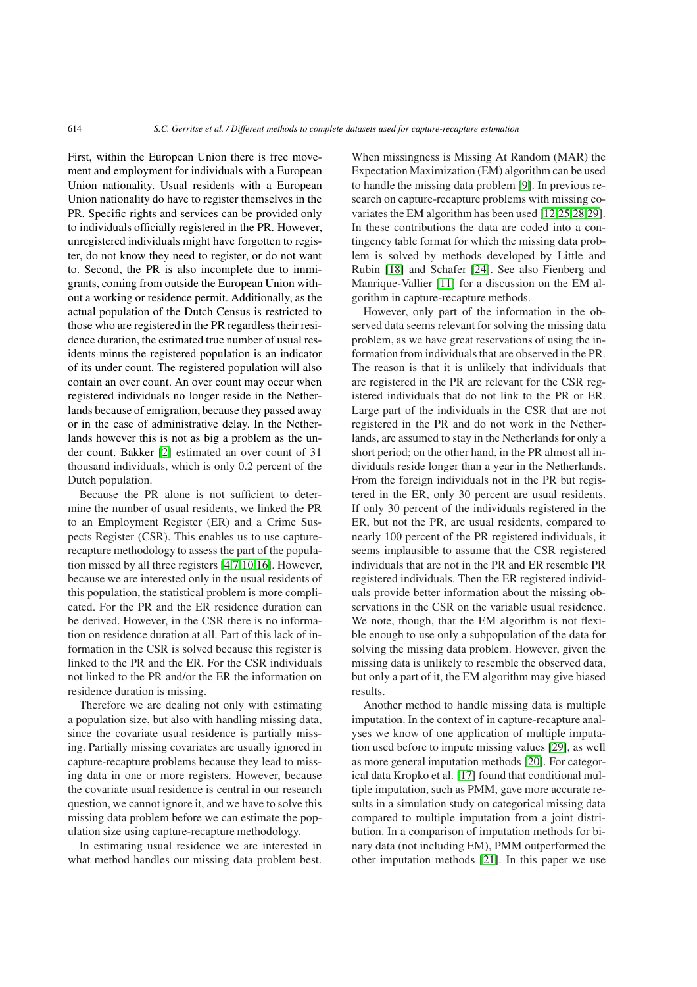First, within the European Union there is free movement and employment for individuals with a European Union nationality. Usual residents with a European Union nationality do have to register themselves in the PR. Specific rights and services can be provided only to individuals officially registered in the PR. However, unregistered individuals might have forgotten to register, do not know they need to register, or do not want to. Second, the PR is also incomplete due to immigrants, coming from outside the European Union without a working or residence permit. Additionally, as the actual population of the Dutch Census is restricted to those who are registered in the PR regardless their residence duration, the estimated true number of usual residents minus the registered population is an indicator of its under count. The registered population will also contain an over count. An over count may occur when registered individuals no longer reside in the Netherlands because of emigration, because they passed away or in the case of administrative delay. In the Netherlands however this is not as big a problem as the under count. Bakker [\[2\]](#page-13-0) estimated an over count of 31 thousand individuals, which is only 0.2 percent of the Dutch population.

Because the PR alone is not sufficient to determine the number of usual residents, we linked the PR to an Employment Register (ER) and a Crime Suspects Register (CSR). This enables us to use capturerecapture methodology to assess the part of the population missed by all three registers [\[4](#page-13-1)[,7](#page-13-2)[,10](#page-13-3)[,16\]](#page-13-4). However, because we are interested only in the usual residents of this population, the statistical problem is more complicated. For the PR and the ER residence duration can be derived. However, in the CSR there is no information on residence duration at all. Part of this lack of information in the CSR is solved because this register is linked to the PR and the ER. For the CSR individuals not linked to the PR and/or the ER the information on residence duration is missing.

Therefore we are dealing not only with estimating a population size, but also with handling missing data, since the covariate usual residence is partially missing. Partially missing covariates are usually ignored in capture-recapture problems because they lead to missing data in one or more registers. However, because the covariate usual residence is central in our research question, we cannot ignore it, and we have to solve this missing data problem before we can estimate the population size using capture-recapture methodology.

In estimating usual residence we are interested in what method handles our missing data problem best. When missingness is Missing At Random (MAR) the Expectation Maximization (EM) algorithm can be used to handle the missing data problem [\[9\]](#page-13-5). In previous research on capture-recapture problems with missing covariates the EM algorithm has been used [\[12](#page-13-6)[,25](#page-13-7)[,28](#page-14-0)[,29\]](#page-14-1). In these contributions the data are coded into a contingency table format for which the missing data problem is solved by methods developed by Little and Rubin [\[18\]](#page-13-8) and Schafer [\[24\]](#page-13-9). See also Fienberg and Manrique-Vallier [\[11\]](#page-13-10) for a discussion on the EM algorithm in capture-recapture methods.

However, only part of the information in the observed data seems relevant for solving the missing data problem, as we have great reservations of using the information from individuals that are observed in the PR. The reason is that it is unlikely that individuals that are registered in the PR are relevant for the CSR registered individuals that do not link to the PR or ER. Large part of the individuals in the CSR that are not registered in the PR and do not work in the Netherlands, are assumed to stay in the Netherlands for only a short period; on the other hand, in the PR almost all individuals reside longer than a year in the Netherlands. From the foreign individuals not in the PR but registered in the ER, only 30 percent are usual residents. If only 30 percent of the individuals registered in the ER, but not the PR, are usual residents, compared to nearly 100 percent of the PR registered individuals, it seems implausible to assume that the CSR registered individuals that are not in the PR and ER resemble PR registered individuals. Then the ER registered individuals provide better information about the missing observations in the CSR on the variable usual residence. We note, though, that the EM algorithm is not flexible enough to use only a subpopulation of the data for solving the missing data problem. However, given the missing data is unlikely to resemble the observed data, but only a part of it, the EM algorithm may give biased results.

Another method to handle missing data is multiple imputation. In the context of in capture-recapture analyses we know of one application of multiple imputation used before to impute missing values [\[29\]](#page-14-1), as well as more general imputation methods [\[20\]](#page-13-11). For categorical data Kropko et al. [\[17\]](#page-13-12) found that conditional multiple imputation, such as PMM, gave more accurate results in a simulation study on categorical missing data compared to multiple imputation from a joint distribution. In a comparison of imputation methods for binary data (not including EM), PMM outperformed the other imputation methods [\[21\]](#page-13-13). In this paper we use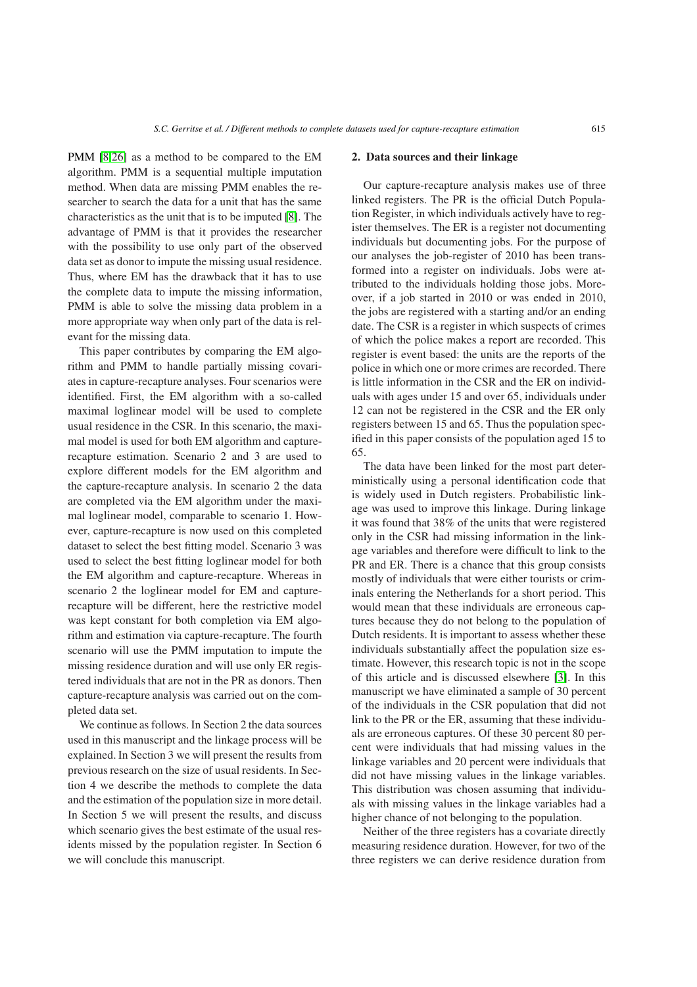PMM [\[8](#page-13-14)[,26\]](#page-13-15) as a method to be compared to the EM algorithm. PMM is a sequential multiple imputation method. When data are missing PMM enables the researcher to search the data for a unit that has the same characteristics as the unit that is to be imputed [\[8\]](#page-13-14). The advantage of PMM is that it provides the researcher with the possibility to use only part of the observed data set as donor to impute the missing usual residence. Thus, where EM has the drawback that it has to use the complete data to impute the missing information, PMM is able to solve the missing data problem in a more appropriate way when only part of the data is relevant for the missing data.

This paper contributes by comparing the EM algorithm and PMM to handle partially missing covariates in capture-recapture analyses. Four scenarios were identified. First, the EM algorithm with a so-called maximal loglinear model will be used to complete usual residence in the CSR. In this scenario, the maximal model is used for both EM algorithm and capturerecapture estimation. Scenario 2 and 3 are used to explore different models for the EM algorithm and the capture-recapture analysis. In scenario 2 the data are completed via the EM algorithm under the maximal loglinear model, comparable to scenario 1. However, capture-recapture is now used on this completed dataset to select the best fitting model. Scenario 3 was used to select the best fitting loglinear model for both the EM algorithm and capture-recapture. Whereas in scenario 2 the loglinear model for EM and capturerecapture will be different, here the restrictive model was kept constant for both completion via EM algorithm and estimation via capture-recapture. The fourth scenario will use the PMM imputation to impute the missing residence duration and will use only ER registered individuals that are not in the PR as donors. Then capture-recapture analysis was carried out on the completed data set.

We continue as follows. In Section 2 the data sources used in this manuscript and the linkage process will be explained. In Section 3 we will present the results from previous research on the size of usual residents. In Section 4 we describe the methods to complete the data and the estimation of the population size in more detail. In Section 5 we will present the results, and discuss which scenario gives the best estimate of the usual residents missed by the population register. In Section 6 we will conclude this manuscript.

#### 2. Data sources and their linkage

Our capture-recapture analysis makes use of three linked registers. The PR is the official Dutch Population Register, in which individuals actively have to register themselves. The ER is a register not documenting individuals but documenting jobs. For the purpose of our analyses the job-register of 2010 has been transformed into a register on individuals. Jobs were attributed to the individuals holding those jobs. Moreover, if a job started in 2010 or was ended in 2010, the jobs are registered with a starting and/or an ending date. The CSR is a register in which suspects of crimes of which the police makes a report are recorded. This register is event based: the units are the reports of the police in which one or more crimes are recorded. There is little information in the CSR and the ER on individuals with ages under 15 and over 65, individuals under 12 can not be registered in the CSR and the ER only registers between 15 and 65. Thus the population specified in this paper consists of the population aged 15 to 65.

The data have been linked for the most part deterministically using a personal identification code that is widely used in Dutch registers. Probabilistic linkage was used to improve this linkage. During linkage it was found that 38% of the units that were registered only in the CSR had missing information in the linkage variables and therefore were difficult to link to the PR and ER. There is a chance that this group consists mostly of individuals that were either tourists or criminals entering the Netherlands for a short period. This would mean that these individuals are erroneous captures because they do not belong to the population of Dutch residents. It is important to assess whether these individuals substantially affect the population size estimate. However, this research topic is not in the scope of this article and is discussed elsewhere [\[3\]](#page-13-16). In this manuscript we have eliminated a sample of 30 percent of the individuals in the CSR population that did not link to the PR or the ER, assuming that these individuals are erroneous captures. Of these 30 percent 80 percent were individuals that had missing values in the linkage variables and 20 percent were individuals that did not have missing values in the linkage variables. This distribution was chosen assuming that individuals with missing values in the linkage variables had a higher chance of not belonging to the population.

Neither of the three registers has a covariate directly measuring residence duration. However, for two of the three registers we can derive residence duration from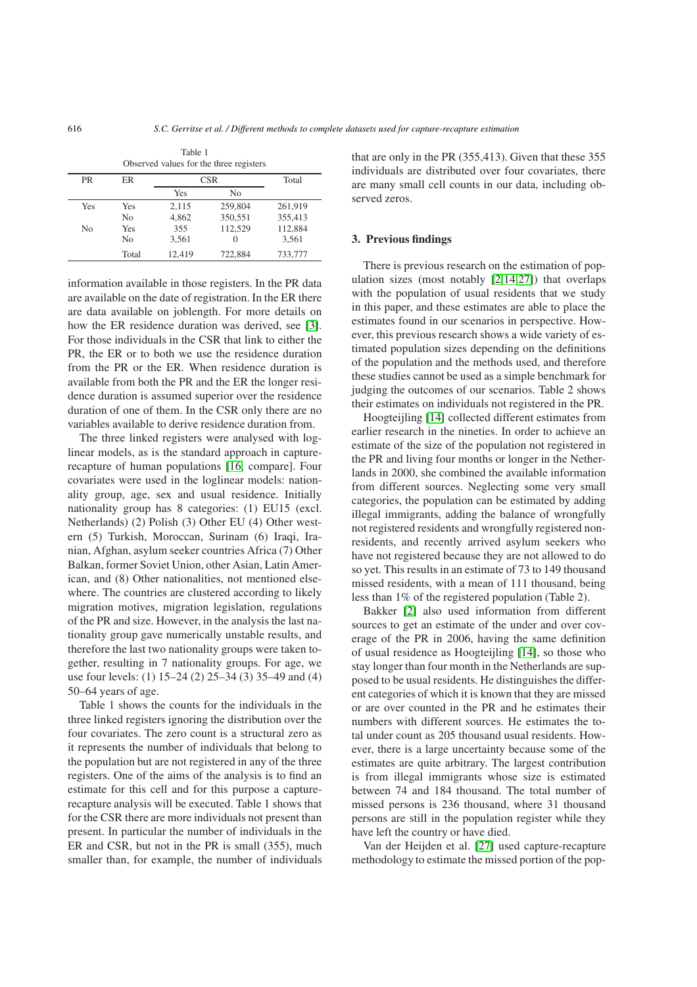|           |       |            | Observed values for the three registers |         |
|-----------|-------|------------|-----------------------------------------|---------|
| <b>PR</b> | ER    | <b>CSR</b> | Total                                   |         |
|           |       | Yes        | N <sub>0</sub>                          |         |
| Yes       | Yes   | 2,115      | 259,804                                 | 261,919 |
|           | No    | 4.862      | 350.551                                 | 355,413 |
| No        | Yes   | 355        | 112,529                                 | 112,884 |
|           | No    | 3.561      |                                         | 3.561   |
|           | Total | 12,419     | 722,884                                 | 733,777 |

Table 1

information available in those registers. In the PR data are available on the date of registration. In the ER there are data available on joblength. For more details on how the ER residence duration was derived, see [\[3\]](#page-13-16). For those individuals in the CSR that link to either the PR, the ER or to both we use the residence duration from the PR or the ER. When residence duration is available from both the PR and the ER the longer residence duration is assumed superior over the residence duration of one of them. In the CSR only there are no variables available to derive residence duration from.

The three linked registers were analysed with loglinear models, as is the standard approach in capturerecapture of human populations [\[16,](#page-13-4) compare]. Four covariates were used in the loglinear models: nationality group, age, sex and usual residence. Initially nationality group has 8 categories: (1) EU15 (excl. Netherlands) (2) Polish (3) Other EU (4) Other western (5) Turkish, Moroccan, Surinam (6) Iraqi, Iranian, Afghan, asylum seeker countries Africa (7) Other Balkan, former Soviet Union, other Asian, Latin American, and (8) Other nationalities, not mentioned elsewhere. The countries are clustered according to likely migration motives, migration legislation, regulations of the PR and size. However, in the analysis the last nationality group gave numerically unstable results, and therefore the last two nationality groups were taken together, resulting in 7 nationality groups. For age, we use four levels: (1) 15–24 (2) 25–34 (3) 35–49 and (4) 50–64 years of age.

Table 1 shows the counts for the individuals in the three linked registers ignoring the distribution over the four covariates. The zero count is a structural zero as it represents the number of individuals that belong to the population but are not registered in any of the three registers. One of the aims of the analysis is to find an estimate for this cell and for this purpose a capturerecapture analysis will be executed. Table 1 shows that for the CSR there are more individuals not present than present. In particular the number of individuals in the ER and CSR, but not in the PR is small (355), much smaller than, for example, the number of individuals that are only in the PR (355,413). Given that these 355 individuals are distributed over four covariates, there are many small cell counts in our data, including observed zeros.

## 3. Previous findings

There is previous research on the estimation of population sizes (most notably [\[2](#page-13-0)[,14](#page-13-17)[,27\]](#page-14-2)) that overlaps with the population of usual residents that we study in this paper, and these estimates are able to place the estimates found in our scenarios in perspective. However, this previous research shows a wide variety of estimated population sizes depending on the definitions of the population and the methods used, and therefore these studies cannot be used as a simple benchmark for judging the outcomes of our scenarios. Table 2 shows their estimates on individuals not registered in the PR.

Hoogteijling [\[14\]](#page-13-17) collected different estimates from earlier research in the nineties. In order to achieve an estimate of the size of the population not registered in the PR and living four months or longer in the Netherlands in 2000, she combined the available information from different sources. Neglecting some very small categories, the population can be estimated by adding illegal immigrants, adding the balance of wrongfully not registered residents and wrongfully registered nonresidents, and recently arrived asylum seekers who have not registered because they are not allowed to do so yet. This results in an estimate of 73 to 149 thousand missed residents, with a mean of 111 thousand, being less than 1% of the registered population (Table 2).

Bakker [\[2\]](#page-13-0) also used information from different sources to get an estimate of the under and over coverage of the PR in 2006, having the same definition of usual residence as Hoogteijling [\[14\]](#page-13-17), so those who stay longer than four month in the Netherlands are supposed to be usual residents. He distinguishes the different categories of which it is known that they are missed or are over counted in the PR and he estimates their numbers with different sources. He estimates the total under count as 205 thousand usual residents. However, there is a large uncertainty because some of the estimates are quite arbitrary. The largest contribution is from illegal immigrants whose size is estimated between 74 and 184 thousand. The total number of missed persons is 236 thousand, where 31 thousand persons are still in the population register while they have left the country or have died.

Van der Heijden et al. [\[27\]](#page-14-2) used capture-recapture methodology to estimate the missed portion of the pop-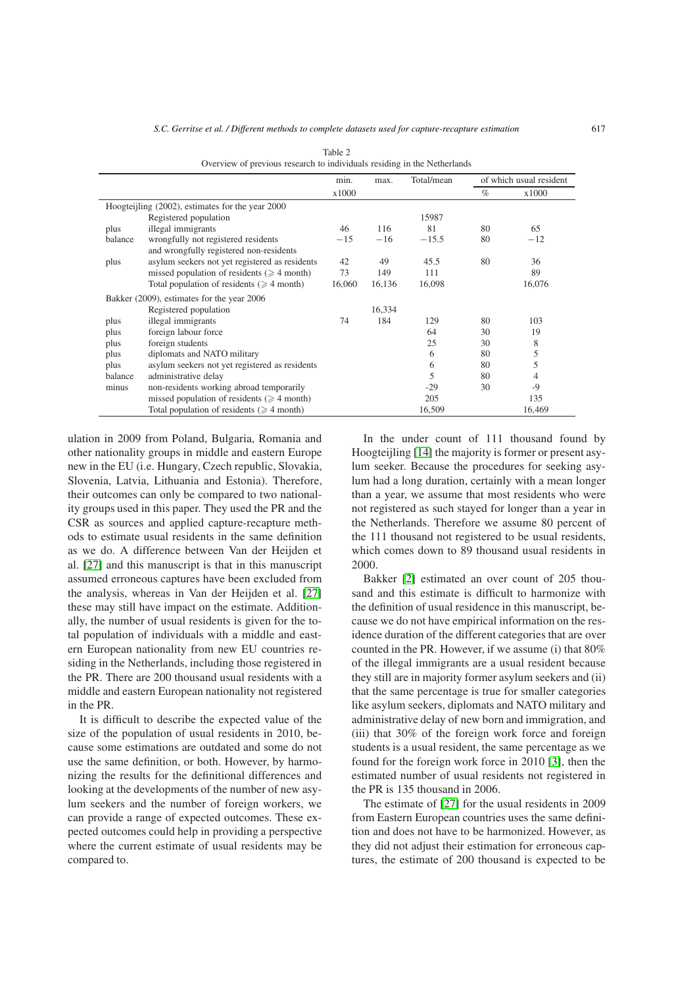|         |                                                  | min.   | max.   | Total/mean |      | of which usual resident |
|---------|--------------------------------------------------|--------|--------|------------|------|-------------------------|
|         |                                                  | x1000  |        |            | $\%$ | x1000                   |
|         | Hoogteijling (2002), estimates for the year 2000 |        |        |            |      |                         |
|         | Registered population                            |        |        | 15987      |      |                         |
| plus    | illegal immigrants                               | 46     | 116    | 81         | 80   | 65                      |
| balance | wrongfully not registered residents              | $-15$  | $-16$  | $-15.5$    | 80   | $-12$                   |
|         | and wrongfully registered non-residents          |        |        |            |      |                         |
| plus    | asylum seekers not yet registered as residents   | 42     | 49     | 45.5       | 80   | 36                      |
|         | missed population of residents ( $\geq 4$ month) | 73     | 149    | 111        |      | 89                      |
|         | Total population of residents ( $\geq 4$ month)  | 16,060 | 16,136 | 16,098     |      | 16,076                  |
|         | Bakker (2009), estimates for the year 2006       |        |        |            |      |                         |
|         | Registered population                            |        | 16,334 |            |      |                         |
| plus    | illegal immigrants                               | 74     | 184    | 129        | 80   | 103                     |
| plus    | foreign labour force                             |        |        | 64         | 30   | 19                      |
| plus    | foreign students                                 |        |        | 25         | 30   | 8                       |
| plus    | diplomats and NATO military                      |        |        | 6          | 80   | 5                       |
| plus    | asylum seekers not yet registered as residents   |        |        | 6          | 80   | 5                       |
| balance | administrative delay                             |        |        | 5          | 80   | 4                       |
| minus   | non-residents working abroad temporarily         |        |        | $-29$      | 30   | $-9$                    |
|         | missed population of residents ( $\geq 4$ month) |        |        | 205        |      | 135                     |
|         | Total population of residents ( $\geq 4$ month)  |        |        | 16,509     |      | 16,469                  |

Table 2 Overview of previous research to individuals residing in the Netherlands

ulation in 2009 from Poland, Bulgaria, Romania and other nationality groups in middle and eastern Europe new in the EU (i.e. Hungary, Czech republic, Slovakia, Slovenia, Latvia, Lithuania and Estonia). Therefore, their outcomes can only be compared to two nationality groups used in this paper. They used the PR and the CSR as sources and applied capture-recapture methods to estimate usual residents in the same definition as we do. A difference between Van der Heijden et al. [\[27\]](#page-14-2) and this manuscript is that in this manuscript assumed erroneous captures have been excluded from the analysis, whereas in Van der Heijden et al. [\[27\]](#page-14-2) these may still have impact on the estimate. Additionally, the number of usual residents is given for the total population of individuals with a middle and eastern European nationality from new EU countries residing in the Netherlands, including those registered in the PR. There are 200 thousand usual residents with a middle and eastern European nationality not registered in the PR.

It is difficult to describe the expected value of the size of the population of usual residents in 2010, because some estimations are outdated and some do not use the same definition, or both. However, by harmonizing the results for the definitional differences and looking at the developments of the number of new asylum seekers and the number of foreign workers, we can provide a range of expected outcomes. These expected outcomes could help in providing a perspective where the current estimate of usual residents may be compared to.

In the under count of 111 thousand found by Hoogteijling [\[14\]](#page-13-17) the majority is former or present asylum seeker. Because the procedures for seeking asylum had a long duration, certainly with a mean longer than a year, we assume that most residents who were not registered as such stayed for longer than a year in the Netherlands. Therefore we assume 80 percent of the 111 thousand not registered to be usual residents, which comes down to 89 thousand usual residents in 2000.

Bakker [\[2\]](#page-13-0) estimated an over count of 205 thousand and this estimate is difficult to harmonize with the definition of usual residence in this manuscript, because we do not have empirical information on the residence duration of the different categories that are over counted in the PR. However, if we assume (i) that 80% of the illegal immigrants are a usual resident because they still are in majority former asylum seekers and (ii) that the same percentage is true for smaller categories like asylum seekers, diplomats and NATO military and administrative delay of new born and immigration, and (iii) that 30% of the foreign work force and foreign students is a usual resident, the same percentage as we found for the foreign work force in 2010 [\[3\]](#page-13-16), then the estimated number of usual residents not registered in the PR is 135 thousand in 2006.

The estimate of [\[27\]](#page-14-2) for the usual residents in 2009 from Eastern European countries uses the same definition and does not have to be harmonized. However, as they did not adjust their estimation for erroneous captures, the estimate of 200 thousand is expected to be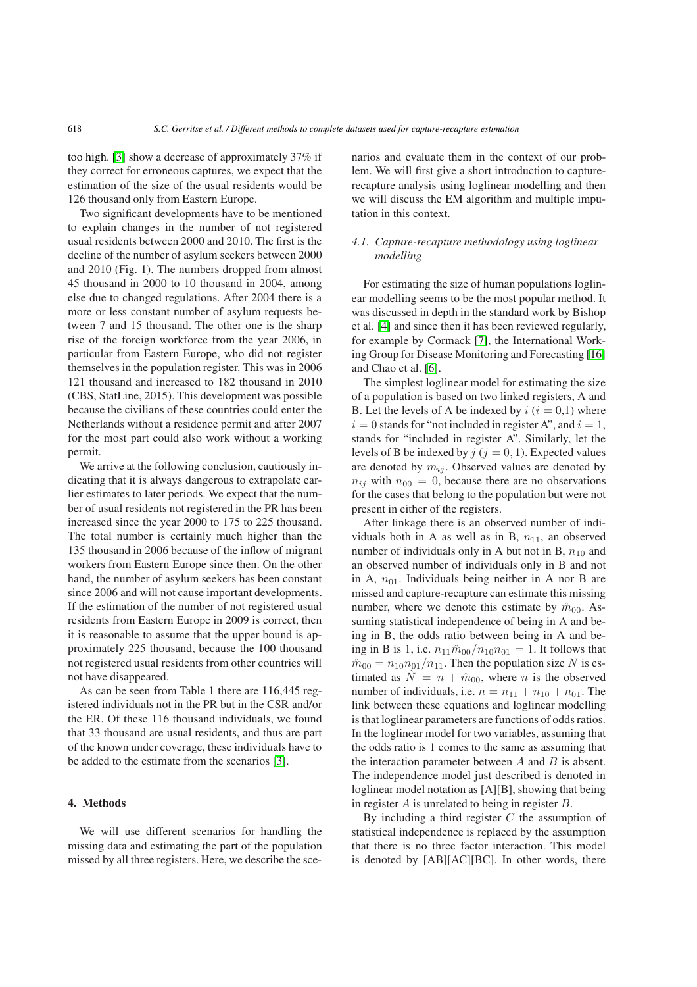too high. [\[3\]](#page-13-16) show a decrease of approximately 37% if they correct for erroneous captures, we expect that the estimation of the size of the usual residents would be 126 thousand only from Eastern Europe.

Two significant developments have to be mentioned to explain changes in the number of not registered usual residents between 2000 and 2010. The first is the decline of the number of asylum seekers between 2000 and 2010 (Fig. 1). The numbers dropped from almost 45 thousand in 2000 to 10 thousand in 2004, among else due to changed regulations. After 2004 there is a more or less constant number of asylum requests between 7 and 15 thousand. The other one is the sharp rise of the foreign workforce from the year 2006, in particular from Eastern Europe, who did not register themselves in the population register. This was in 2006 121 thousand and increased to 182 thousand in 2010 (CBS, StatLine, 2015). This development was possible because the civilians of these countries could enter the Netherlands without a residence permit and after 2007 for the most part could also work without a working permit.

We arrive at the following conclusion, cautiously indicating that it is always dangerous to extrapolate earlier estimates to later periods. We expect that the number of usual residents not registered in the PR has been increased since the year 2000 to 175 to 225 thousand. The total number is certainly much higher than the 135 thousand in 2006 because of the inflow of migrant workers from Eastern Europe since then. On the other hand, the number of asylum seekers has been constant since 2006 and will not cause important developments. If the estimation of the number of not registered usual residents from Eastern Europe in 2009 is correct, then it is reasonable to assume that the upper bound is approximately 225 thousand, because the 100 thousand not registered usual residents from other countries will not have disappeared.

As can be seen from Table 1 there are 116,445 registered individuals not in the PR but in the CSR and/or the ER. Of these 116 thousand individuals, we found that 33 thousand are usual residents, and thus are part of the known under coverage, these individuals have to be added to the estimate from the scenarios [\[3\]](#page-13-16).

# 4. Methods

We will use different scenarios for handling the missing data and estimating the part of the population missed by all three registers. Here, we describe the scenarios and evaluate them in the context of our problem. We will first give a short introduction to capturerecapture analysis using loglinear modelling and then we will discuss the EM algorithm and multiple imputation in this context.

## *4.1. Capture-recapture methodology using loglinear modelling*

For estimating the size of human populations loglinear modelling seems to be the most popular method. It was discussed in depth in the standard work by Bishop et al. [\[4\]](#page-13-1) and since then it has been reviewed regularly, for example by Cormack [\[7\]](#page-13-2), the International Working Group for Disease Monitoring and Forecasting [\[16\]](#page-13-4) and Chao et al. [\[6\]](#page-13-18).

The simplest loglinear model for estimating the size of a population is based on two linked registers, A and B. Let the levels of A be indexed by  $i$  ( $i = 0,1$ ) where  $i = 0$  stands for "not included in register A", and  $i = 1$ , stands for "included in register A". Similarly, let the levels of B be indexed by  $j$  ( $j = 0, 1$ ). Expected values are denoted by  $m_{ij}$ . Observed values are denoted by  $n_{ij}$  with  $n_{00} = 0$ , because there are no observations for the cases that belong to the population but were not present in either of the registers.

After linkage there is an observed number of individuals both in A as well as in B,  $n_{11}$ , an observed number of individuals only in A but not in B,  $n_{10}$  and an observed number of individuals only in B and not in A,  $n_{01}$ . Individuals being neither in A nor B are missed and capture-recapture can estimate this missing number, where we denote this estimate by  $\hat{m}_{00}$ . Assuming statistical independence of being in A and being in B, the odds ratio between being in A and being in B is 1, i.e.  $n_{11} \hat{m}_{00}/n_{10} n_{01} = 1$ . It follows that  $\hat{m}_{00} = n_{10}n_{01}/n_{11}$ . Then the population size *N* is estimated as  $\hat{N} = n + \hat{m}_{00}$ , where *n* is the observed number of individuals, i.e.  $n = n_{11} + n_{10} + n_{01}$ . The link between these equations and loglinear modelling is that loglinear parameters are functions of odds ratios. In the loglinear model for two variables, assuming that the odds ratio is 1 comes to the same as assuming that the interaction parameter between *A* and *B* is absent. The independence model just described is denoted in loglinear model notation as [A][B], showing that being in register *A* is unrelated to being in register *B*.

By including a third register *C* the assumption of statistical independence is replaced by the assumption that there is no three factor interaction. This model is denoted by [AB][AC][BC]. In other words, there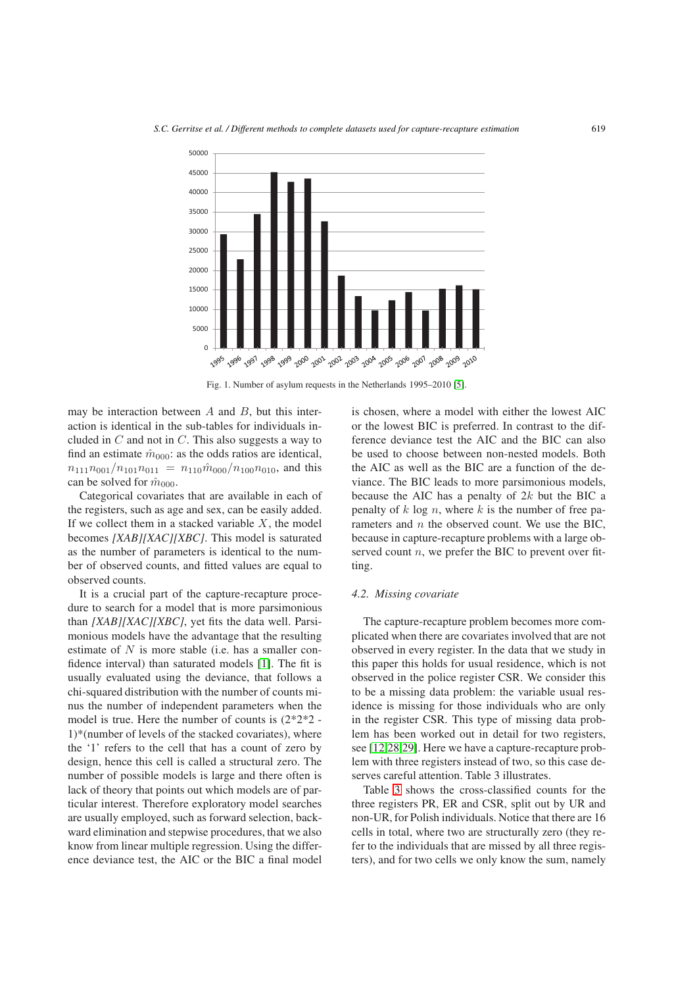

Fig. 1. Number of asylum requests in the Netherlands 1995–2010 [\[5\]](#page-13-19).

may be interaction between *A* and *B*, but this interaction is identical in the sub-tables for individuals included in *C* and not in *C*. This also suggests a way to find an estimate  $\hat{m}_{000}$ : as the odds ratios are identical,  $n_{111}n_{001}/n_{101}n_{011} = n_{110}\hat{m}_{000}/n_{100}n_{010}$ , and this can be solved for  $\hat{m}_{000}$ .

Categorical covariates that are available in each of the registers, such as age and sex, can be easily added. If we collect them in a stacked variable *X*, the model becomes *[XAB][XAC][XBC]*. This model is saturated as the number of parameters is identical to the number of observed counts, and fitted values are equal to observed counts.

It is a crucial part of the capture-recapture procedure to search for a model that is more parsimonious than *[XAB][XAC][XBC]*, yet fits the data well. Parsimonious models have the advantage that the resulting estimate of *N* is more stable (i.e. has a smaller confidence interval) than saturated models [\[1\]](#page-13-20). The fit is usually evaluated using the deviance, that follows a chi-squared distribution with the number of counts minus the number of independent parameters when the model is true. Here the number of counts is (2\*2\*2 - 1)\*(number of levels of the stacked covariates), where the '1' refers to the cell that has a count of zero by design, hence this cell is called a structural zero. The number of possible models is large and there often is lack of theory that points out which models are of particular interest. Therefore exploratory model searches are usually employed, such as forward selection, backward elimination and stepwise procedures, that we also know from linear multiple regression. Using the difference deviance test, the AIC or the BIC a final model is chosen, where a model with either the lowest AIC or the lowest BIC is preferred. In contrast to the difference deviance test the AIC and the BIC can also be used to choose between non-nested models. Both the AIC as well as the BIC are a function of the deviance. The BIC leads to more parsimonious models, because the AIC has a penalty of 2*k* but the BIC a penalty of *k* log *n*, where *k* is the number of free parameters and *n* the observed count. We use the BIC, because in capture-recapture problems with a large observed count *n*, we prefer the BIC to prevent over fitting.

## *4.2. Missing covariate*

The capture-recapture problem becomes more complicated when there are covariates involved that are not observed in every register. In the data that we study in this paper this holds for usual residence, which is not observed in the police register CSR. We consider this to be a missing data problem: the variable usual residence is missing for those individuals who are only in the register CSR. This type of missing data problem has been worked out in detail for two registers, see [\[12](#page-13-6)[,28](#page-14-0)[,29\]](#page-14-1). Here we have a capture-recapture problem with three registers instead of two, so this case deserves careful attention. Table 3 illustrates.

Table [3](#page-7-0) shows the cross-classified counts for the three registers PR, ER and CSR, split out by UR and non-UR, for Polish individuals. Notice that there are 16 cells in total, where two are structurally zero (they refer to the individuals that are missed by all three registers), and for two cells we only know the sum, namely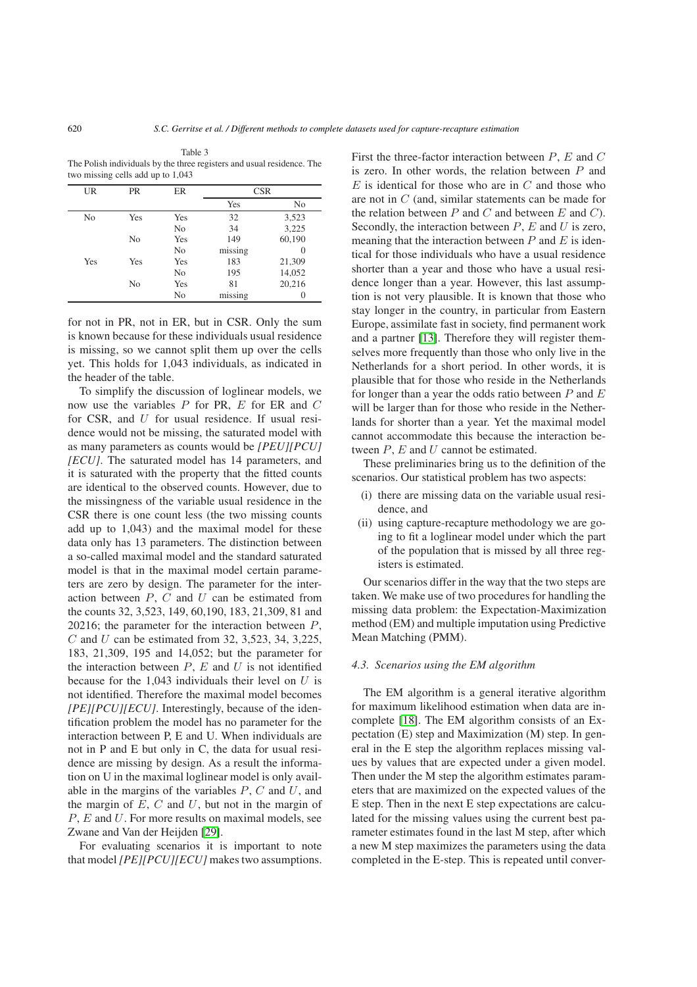<span id="page-7-0"></span>Table 3 The Polish individuals by the three registers and usual residence. The two missing cells add up to 1,043

| <b>UR</b> | PR             | ER             | <b>CSR</b> |        |
|-----------|----------------|----------------|------------|--------|
|           |                |                | Yes        | No     |
| No        | Yes            | Yes            | 32         | 3,523  |
|           |                | N <sub>0</sub> | 34         | 3,225  |
|           | N <sub>o</sub> | Yes            | 149        | 60,190 |
|           |                | N <sub>0</sub> | missing    | 0      |
| Yes       | Yes            | Yes            | 183        | 21,309 |
|           |                | N <sub>0</sub> | 195        | 14,052 |
|           | No             | Yes            | 81         | 20,216 |
|           |                | N <sub>0</sub> | missing    | 0      |

for not in PR, not in ER, but in CSR. Only the sum is known because for these individuals usual residence is missing, so we cannot split them up over the cells yet. This holds for 1,043 individuals, as indicated in the header of the table.

To simplify the discussion of loglinear models, we now use the variables *P* for PR, *E* for ER and *C* for CSR, and *U* for usual residence. If usual residence would not be missing, the saturated model with as many parameters as counts would be *[PEU][PCU] [ECU]*. The saturated model has 14 parameters, and it is saturated with the property that the fitted counts are identical to the observed counts. However, due to the missingness of the variable usual residence in the CSR there is one count less (the two missing counts add up to 1,043) and the maximal model for these data only has 13 parameters. The distinction between a so-called maximal model and the standard saturated model is that in the maximal model certain parameters are zero by design. The parameter for the interaction between *P*, *C* and *U* can be estimated from the counts 32, 3,523, 149, 60,190, 183, 21,309, 81 and 20216; the parameter for the interaction between *P*, *C* and *U* can be estimated from 32, 3,523, 34, 3,225, 183, 21,309, 195 and 14,052; but the parameter for the interaction between  $P$ ,  $E$  and  $U$  is not identified because for the 1,043 individuals their level on *U* is not identified. Therefore the maximal model becomes *[PE][PCU][ECU]*. Interestingly, because of the identification problem the model has no parameter for the interaction between P, E and U. When individuals are not in P and E but only in C, the data for usual residence are missing by design. As a result the information on U in the maximal loglinear model is only available in the margins of the variables *P*, *C* and *U*, and the margin of  $E$ ,  $C$  and  $U$ , but not in the margin of *P*, *E* and *U*. For more results on maximal models, see Zwane and Van der Heijden [\[29\]](#page-14-1).

For evaluating scenarios it is important to note that model*[PE][PCU][ECU]* makes two assumptions. First the three-factor interaction between *P*, *E* and *C* is zero. In other words, the relation between *P* and *E* is identical for those who are in *C* and those who are not in *C* (and, similar statements can be made for the relation between *P* and *C* and between *E* and *C*). Secondly, the interaction between *P*, *E* and *U* is zero, meaning that the interaction between *P* and *E* is identical for those individuals who have a usual residence shorter than a year and those who have a usual residence longer than a year. However, this last assumption is not very plausible. It is known that those who stay longer in the country, in particular from Eastern Europe, assimilate fast in society, find permanent work and a partner [\[13\]](#page-13-21). Therefore they will register themselves more frequently than those who only live in the Netherlands for a short period. In other words, it is plausible that for those who reside in the Netherlands for longer than a year the odds ratio between *P* and *E* will be larger than for those who reside in the Netherlands for shorter than a year. Yet the maximal model cannot accommodate this because the interaction between *P*, *E* and *U* cannot be estimated.

These preliminaries bring us to the definition of the scenarios. Our statistical problem has two aspects:

- (i) there are missing data on the variable usual residence, and
- (ii) using capture-recapture methodology we are going to fit a loglinear model under which the part of the population that is missed by all three registers is estimated.

Our scenarios differ in the way that the two steps are taken. We make use of two procedures for handling the missing data problem: the Expectation-Maximization method (EM) and multiple imputation using Predictive Mean Matching (PMM).

## *4.3. Scenarios using the EM algorithm*

The EM algorithm is a general iterative algorithm for maximum likelihood estimation when data are incomplete [\[18\]](#page-13-8). The EM algorithm consists of an Expectation (E) step and Maximization (M) step. In general in the E step the algorithm replaces missing values by values that are expected under a given model. Then under the M step the algorithm estimates parameters that are maximized on the expected values of the E step. Then in the next E step expectations are calculated for the missing values using the current best parameter estimates found in the last M step, after which a new M step maximizes the parameters using the data completed in the E-step. This is repeated until conver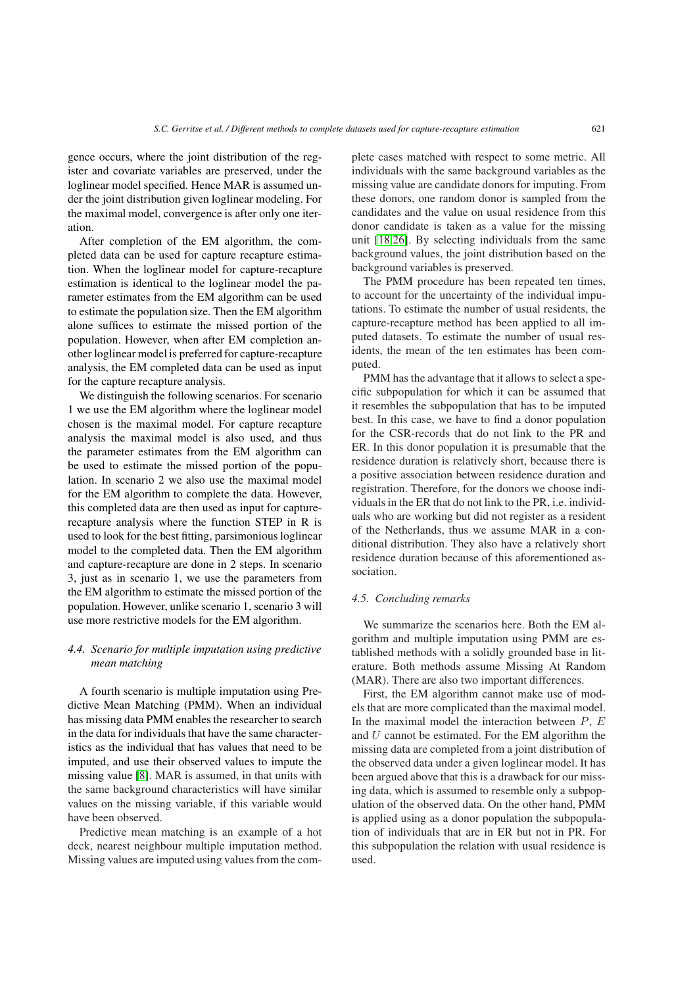gence occurs, where the joint distribution of the register and covariate variables are preserved, under the loglinear model specified. Hence MAR is assumed under the joint distribution given loglinear modeling. For the maximal model, convergence is after only one iteration.

After completion of the EM algorithm, the completed data can be used for capture recapture estimation. When the loglinear model for capture-recapture estimation is identical to the loglinear model the parameter estimates from the EM algorithm can be used to estimate the population size. Then the EM algorithm alone suffices to estimate the missed portion of the population. However, when after EM completion another loglinear model is preferred for capture-recapture analysis, the EM completed data can be used as input for the capture recapture analysis.

We distinguish the following scenarios. For scenario 1 we use the EM algorithm where the loglinear model chosen is the maximal model. For capture recapture analysis the maximal model is also used, and thus the parameter estimates from the EM algorithm can be used to estimate the missed portion of the population. In scenario 2 we also use the maximal model for the EM algorithm to complete the data. However, this completed data are then used as input for capturerecapture analysis where the function STEP in R is used to look for the best fitting, parsimonious loglinear model to the completed data. Then the EM algorithm and capture-recapture are done in 2 steps. In scenario 3, just as in scenario 1, we use the parameters from the EM algorithm to estimate the missed portion of the population. However, unlike scenario 1, scenario 3 will use more restrictive models for the EM algorithm.

## *4.4. Scenario for multiple imputation using predictive mean matching*

A fourth scenario is multiple imputation using Predictive Mean Matching (PMM). When an individual has missing data PMM enables the researcher to search in the data for individuals that have the same characteristics as the individual that has values that need to be imputed, and use their observed values to impute the missing value [\[8\]](#page-13-14). MAR is assumed, in that units with the same background characteristics will have similar values on the missing variable, if this variable would have been observed.

Predictive mean matching is an example of a hot deck, nearest neighbour multiple imputation method. Missing values are imputed using values from the complete cases matched with respect to some metric. All individuals with the same background variables as the missing value are candidate donors for imputing. From these donors, one random donor is sampled from the candidates and the value on usual residence from this donor candidate is taken as a value for the missing unit [\[18,](#page-13-8)[26\]](#page-13-15). By selecting individuals from the same background values, the joint distribution based on the background variables is preserved.

The PMM procedure has been repeated ten times, to account for the uncertainty of the individual imputations. To estimate the number of usual residents, the capture-recapture method has been applied to all imputed datasets. To estimate the number of usual residents, the mean of the ten estimates has been computed.

PMM has the advantage that it allows to select a specific subpopulation for which it can be assumed that it resembles the subpopulation that has to be imputed best. In this case, we have to find a donor population for the CSR-records that do not link to the PR and ER. In this donor population it is presumable that the residence duration is relatively short, because there is a positive association between residence duration and registration. Therefore, for the donors we choose individuals in the ER that do not link to the PR, i.e. individuals who are working but did not register as a resident of the Netherlands, thus we assume MAR in a conditional distribution. They also have a relatively short residence duration because of this aforementioned association.

## *4.5. Concluding remarks*

We summarize the scenarios here. Both the EM algorithm and multiple imputation using PMM are established methods with a solidly grounded base in literature. Both methods assume Missing At Random (MAR). There are also two important differences.

First, the EM algorithm cannot make use of models that are more complicated than the maximal model. In the maximal model the interaction between *P*, *E* and *U* cannot be estimated. For the EM algorithm the missing data are completed from a joint distribution of the observed data under a given loglinear model. It has been argued above that this is a drawback for our missing data, which is assumed to resemble only a subpopulation of the observed data. On the other hand, PMM is applied using as a donor population the subpopulation of individuals that are in ER but not in PR. For this subpopulation the relation with usual residence is used.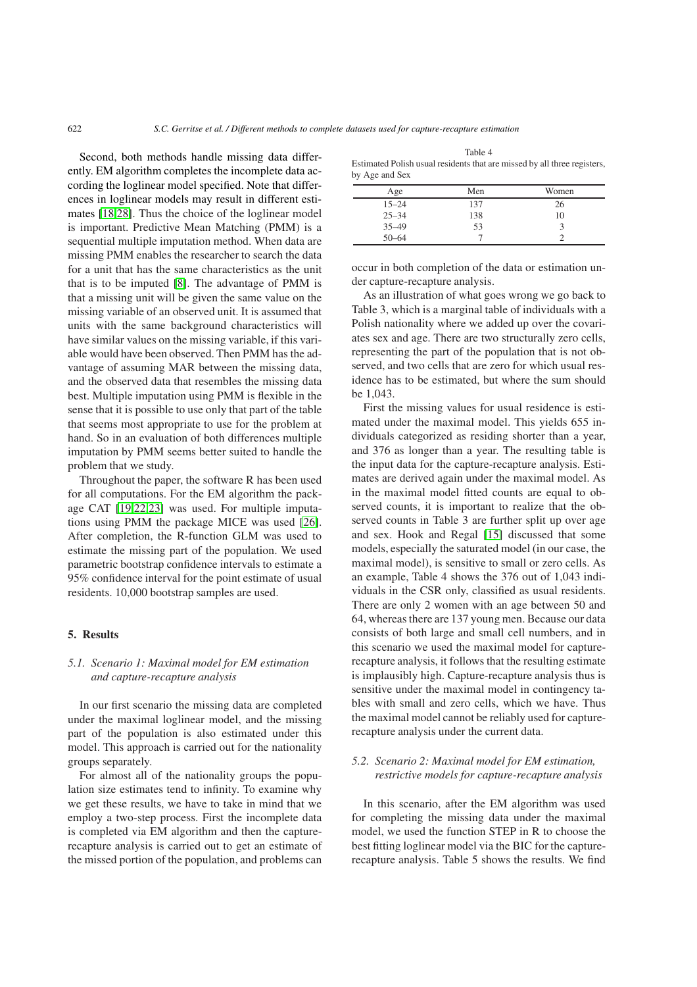Second, both methods handle missing data differently. EM algorithm completes the incomplete data according the loglinear model specified. Note that differences in loglinear models may result in different estimates [\[18,](#page-13-8)[28\]](#page-14-0). Thus the choice of the loglinear model is important. Predictive Mean Matching (PMM) is a sequential multiple imputation method. When data are missing PMM enables the researcher to search the data for a unit that has the same characteristics as the unit that is to be imputed [\[8\]](#page-13-14). The advantage of PMM is that a missing unit will be given the same value on the missing variable of an observed unit. It is assumed that units with the same background characteristics will have similar values on the missing variable, if this variable would have been observed. Then PMM has the advantage of assuming MAR between the missing data, and the observed data that resembles the missing data best. Multiple imputation using PMM is flexible in the sense that it is possible to use only that part of the table that seems most appropriate to use for the problem at hand. So in an evaluation of both differences multiple imputation by PMM seems better suited to handle the problem that we study.

Throughout the paper, the software R has been used for all computations. For the EM algorithm the package CAT [\[19](#page-13-22)[,22](#page-13-23)[,23\]](#page-13-24) was used. For multiple imputations using PMM the package MICE was used [\[26\]](#page-13-15). After completion, the R-function GLM was used to estimate the missing part of the population. We used parametric bootstrap confidence intervals to estimate a 95% confidence interval for the point estimate of usual residents. 10,000 bootstrap samples are used.

## 5. Results

## *5.1. Scenario 1: Maximal model for EM estimation and capture-recapture analysis*

In our first scenario the missing data are completed under the maximal loglinear model, and the missing part of the population is also estimated under this model. This approach is carried out for the nationality groups separately.

For almost all of the nationality groups the population size estimates tend to infinity. To examine why we get these results, we have to take in mind that we employ a two-step process. First the incomplete data is completed via EM algorithm and then the capturerecapture analysis is carried out to get an estimate of the missed portion of the population, and problems can

Table 4 Estimated Polish usual residents that are missed by all three registers, by Age and Sex

| __                     |     |       |
|------------------------|-----|-------|
| Age                    | Men | Women |
| $15 - 24$              | 137 | 26    |
| $25 - 34$              | 138 | 10    |
| $35 - 49$<br>$50 - 64$ | 53  |       |
|                        |     |       |

occur in both completion of the data or estimation under capture-recapture analysis.

As an illustration of what goes wrong we go back to Table 3, which is a marginal table of individuals with a Polish nationality where we added up over the covariates sex and age. There are two structurally zero cells, representing the part of the population that is not observed, and two cells that are zero for which usual residence has to be estimated, but where the sum should be 1,043.

First the missing values for usual residence is estimated under the maximal model. This yields 655 individuals categorized as residing shorter than a year, and 376 as longer than a year. The resulting table is the input data for the capture-recapture analysis. Estimates are derived again under the maximal model. As in the maximal model fitted counts are equal to observed counts, it is important to realize that the observed counts in Table 3 are further split up over age and sex. Hook and Regal [\[15\]](#page-13-25) discussed that some models, especially the saturated model (in our case, the maximal model), is sensitive to small or zero cells. As an example, Table 4 shows the 376 out of 1,043 individuals in the CSR only, classified as usual residents. There are only 2 women with an age between 50 and 64, whereas there are 137 young men. Because our data consists of both large and small cell numbers, and in this scenario we used the maximal model for capturerecapture analysis, it follows that the resulting estimate is implausibly high. Capture-recapture analysis thus is sensitive under the maximal model in contingency tables with small and zero cells, which we have. Thus the maximal model cannot be reliably used for capturerecapture analysis under the current data.

# *5.2. Scenario 2: Maximal model for EM estimation, restrictive models for capture-recapture analysis*

In this scenario, after the EM algorithm was used for completing the missing data under the maximal model, we used the function STEP in R to choose the best fitting loglinear model via the BIC for the capturerecapture analysis. Table 5 shows the results. We find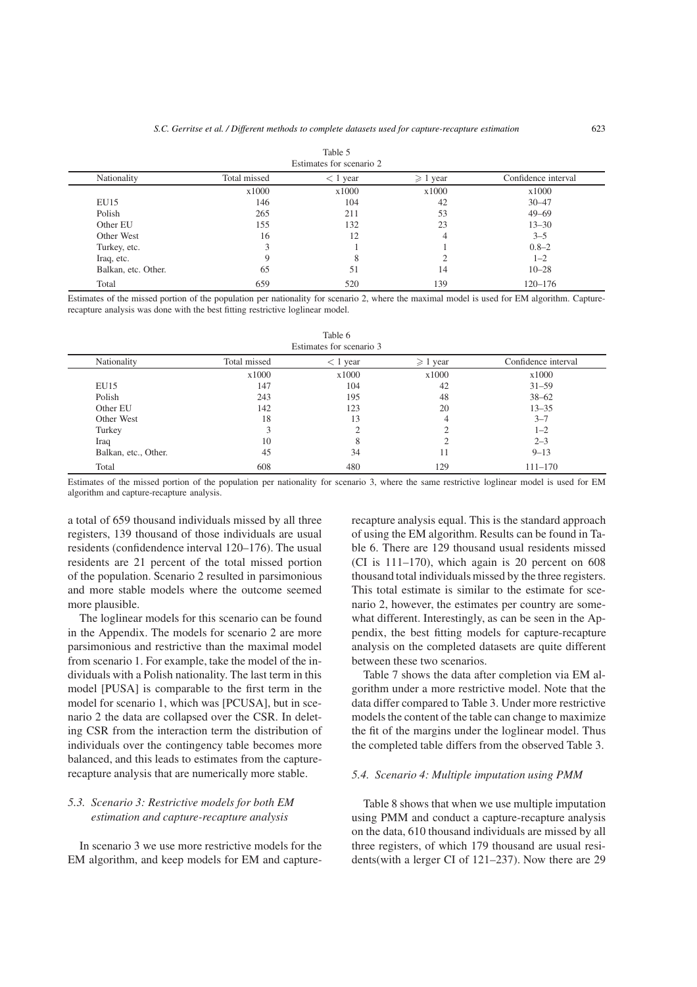| Estimates for scenario 2 |              |            |                    |                     |
|--------------------------|--------------|------------|--------------------|---------------------|
| Nationality              | Total missed | $<$ 1 year | $\geqslant$ 1 year | Confidence interval |
|                          | x1000        | x1000      | x1000              | x1000               |
| EU15                     | 146          | 104        | 42                 | $30 - 47$           |
| Polish                   | 265          | 211        | 53                 | $49 - 69$           |
| Other EU                 | 155          | 132        | 23                 | $13 - 30$           |
| Other West               | 16           | 12         | 4                  | $3 - 5$             |
| Turkey, etc.             |              |            |                    | $0.8 - 2$           |
| Iraq, etc.               | 9            | 8          |                    | $1 - 2$             |
| Balkan, etc. Other.      | 65           | 51         | 14                 | $10 - 28$           |
| Total                    | 659          | 520        | 139                | $120 - 176$         |

Estimates of the missed portion of the population per nationality for scenario 2, where the maximal model is used for EM algorithm. Capturerecapture analysis was done with the best fitting restrictive loglinear model.

|                      | Table 6<br>Estimates for scenario 3 |            |                    |                     |  |
|----------------------|-------------------------------------|------------|--------------------|---------------------|--|
| Nationality          | Total missed                        | $<$ 1 year | $\geqslant$ 1 year | Confidence interval |  |
|                      | x1000                               | x1000      | x1000              | x1000               |  |
| EU15                 | 147                                 | 104        | 42                 | $31 - 59$           |  |
| Polish               | 243                                 | 195        | 48                 | $38 - 62$           |  |
| Other EU             | 142                                 | 123        | 20                 | $13 - 35$           |  |
| Other West           | 18                                  | 13         | 4                  | $3 - 7$             |  |
| Turkey               | 3                                   |            | ◠                  | $1 - 2$             |  |
| Iraq                 | 10                                  | 8          | ◠                  | $2 - 3$             |  |
| Balkan, etc., Other. | 45                                  | 34         | 11                 | $9 - 13$            |  |
| Total                | 608                                 | 480        | 129                | $111 - 170$         |  |

Estimates of the missed portion of the population per nationality for scenario 3, where the same restrictive loglinear model is used for EM algorithm and capture-recapture analysis.

a total of 659 thousand individuals missed by all three registers, 139 thousand of those individuals are usual residents (confidendence interval 120–176). The usual residents are 21 percent of the total missed portion of the population. Scenario 2 resulted in parsimonious and more stable models where the outcome seemed more plausible.

The loglinear models for this scenario can be found in the Appendix. The models for scenario 2 are more parsimonious and restrictive than the maximal model from scenario 1. For example, take the model of the individuals with a Polish nationality. The last term in this model [PUSA] is comparable to the first term in the model for scenario 1, which was [PCUSA], but in scenario 2 the data are collapsed over the CSR. In deleting CSR from the interaction term the distribution of individuals over the contingency table becomes more balanced, and this leads to estimates from the capturerecapture analysis that are numerically more stable.

## *5.3. Scenario 3: Restrictive models for both EM estimation and capture-recapture analysis*

In scenario 3 we use more restrictive models for the EM algorithm, and keep models for EM and capturerecapture analysis equal. This is the standard approach of using the EM algorithm. Results can be found in Table 6. There are 129 thousand usual residents missed (CI is 111–170), which again is 20 percent on 608 thousand total individuals missed by the three registers. This total estimate is similar to the estimate for scenario 2, however, the estimates per country are somewhat different. Interestingly, as can be seen in the Appendix, the best fitting models for capture-recapture analysis on the completed datasets are quite different between these two scenarios.

Table 7 shows the data after completion via EM algorithm under a more restrictive model. Note that the data differ compared to Table 3. Under more restrictive models the content of the table can change to maximize the fit of the margins under the loglinear model. Thus the completed table differs from the observed Table 3.

## *5.4. Scenario 4: Multiple imputation using PMM*

Table 8 shows that when we use multiple imputation using PMM and conduct a capture-recapture analysis on the data, 610 thousand individuals are missed by all three registers, of which 179 thousand are usual residents(with a lerger CI of 121–237). Now there are 29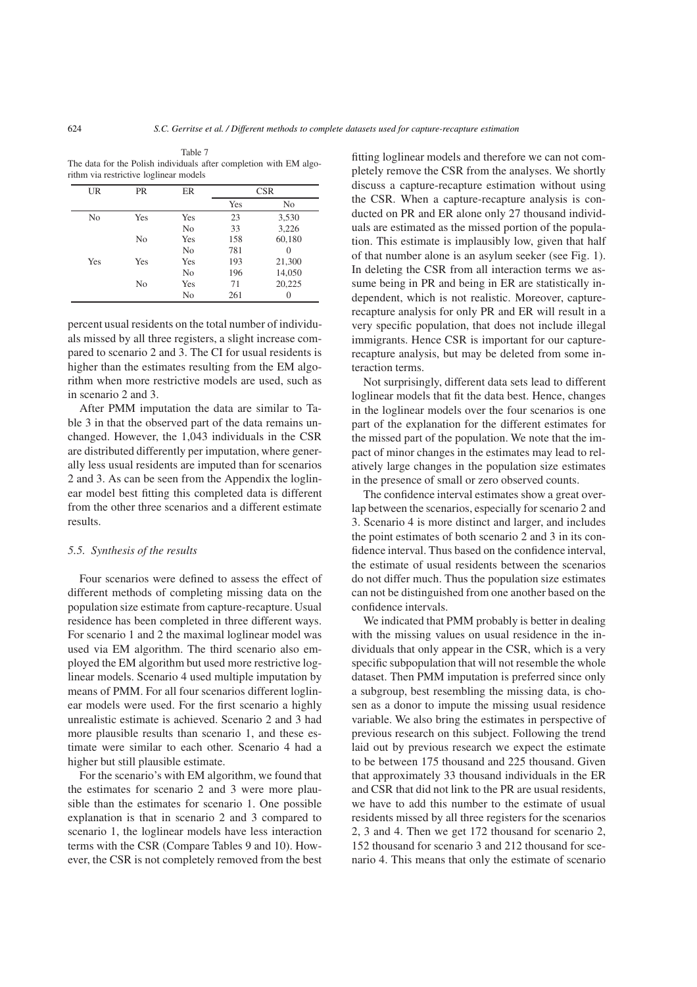Table 7 The data for the Polish individuals after completion with EM algorithm via restrictive loglinear models

| <b>UR</b> | PR  | ER  |     | <b>CSR</b>     |
|-----------|-----|-----|-----|----------------|
|           |     |     | Yes | N <sub>0</sub> |
| No        | Yes | Yes | 23  | 3,530          |
|           |     | No  | 33  | 3,226          |
|           | No  | Yes | 158 | 60,180         |
|           |     | No  | 781 | 0              |
| Yes       | Yes | Yes | 193 | 21,300         |
|           |     | No  | 196 | 14,050         |
|           | No  | Yes | 71  | 20,225         |
|           |     | No  | 261 | 0              |

percent usual residents on the total number of individuals missed by all three registers, a slight increase compared to scenario 2 and 3. The CI for usual residents is higher than the estimates resulting from the EM algorithm when more restrictive models are used, such as in scenario 2 and 3.

After PMM imputation the data are similar to Table 3 in that the observed part of the data remains unchanged. However, the 1,043 individuals in the CSR are distributed differently per imputation, where generally less usual residents are imputed than for scenarios 2 and 3. As can be seen from the Appendix the loglinear model best fitting this completed data is different from the other three scenarios and a different estimate results.

## *5.5. Synthesis of the results*

Four scenarios were defined to assess the effect of different methods of completing missing data on the population size estimate from capture-recapture. Usual residence has been completed in three different ways. For scenario 1 and 2 the maximal loglinear model was used via EM algorithm. The third scenario also employed the EM algorithm but used more restrictive loglinear models. Scenario 4 used multiple imputation by means of PMM. For all four scenarios different loglinear models were used. For the first scenario a highly unrealistic estimate is achieved. Scenario 2 and 3 had more plausible results than scenario 1, and these estimate were similar to each other. Scenario 4 had a higher but still plausible estimate.

For the scenario's with EM algorithm, we found that the estimates for scenario 2 and 3 were more plausible than the estimates for scenario 1. One possible explanation is that in scenario 2 and 3 compared to scenario 1, the loglinear models have less interaction terms with the CSR (Compare Tables 9 and 10). However, the CSR is not completely removed from the best fitting loglinear models and therefore we can not completely remove the CSR from the analyses. We shortly discuss a capture-recapture estimation without using the CSR. When a capture-recapture analysis is conducted on PR and ER alone only 27 thousand individuals are estimated as the missed portion of the population. This estimate is implausibly low, given that half of that number alone is an asylum seeker (see Fig. 1). In deleting the CSR from all interaction terms we assume being in PR and being in ER are statistically independent, which is not realistic. Moreover, capturerecapture analysis for only PR and ER will result in a very specific population, that does not include illegal immigrants. Hence CSR is important for our capturerecapture analysis, but may be deleted from some interaction terms.

Not surprisingly, different data sets lead to different loglinear models that fit the data best. Hence, changes in the loglinear models over the four scenarios is one part of the explanation for the different estimates for the missed part of the population. We note that the impact of minor changes in the estimates may lead to relatively large changes in the population size estimates in the presence of small or zero observed counts.

The confidence interval estimates show a great overlap between the scenarios, especially for scenario 2 and 3. Scenario 4 is more distinct and larger, and includes the point estimates of both scenario 2 and 3 in its confidence interval. Thus based on the confidence interval, the estimate of usual residents between the scenarios do not differ much. Thus the population size estimates can not be distinguished from one another based on the confidence intervals.

We indicated that PMM probably is better in dealing with the missing values on usual residence in the individuals that only appear in the CSR, which is a very specific subpopulation that will not resemble the whole dataset. Then PMM imputation is preferred since only a subgroup, best resembling the missing data, is chosen as a donor to impute the missing usual residence variable. We also bring the estimates in perspective of previous research on this subject. Following the trend laid out by previous research we expect the estimate to be between 175 thousand and 225 thousand. Given that approximately 33 thousand individuals in the ER and CSR that did not link to the PR are usual residents, we have to add this number to the estimate of usual residents missed by all three registers for the scenarios 2, 3 and 4. Then we get 172 thousand for scenario 2, 152 thousand for scenario 3 and 212 thousand for scenario 4. This means that only the estimate of scenario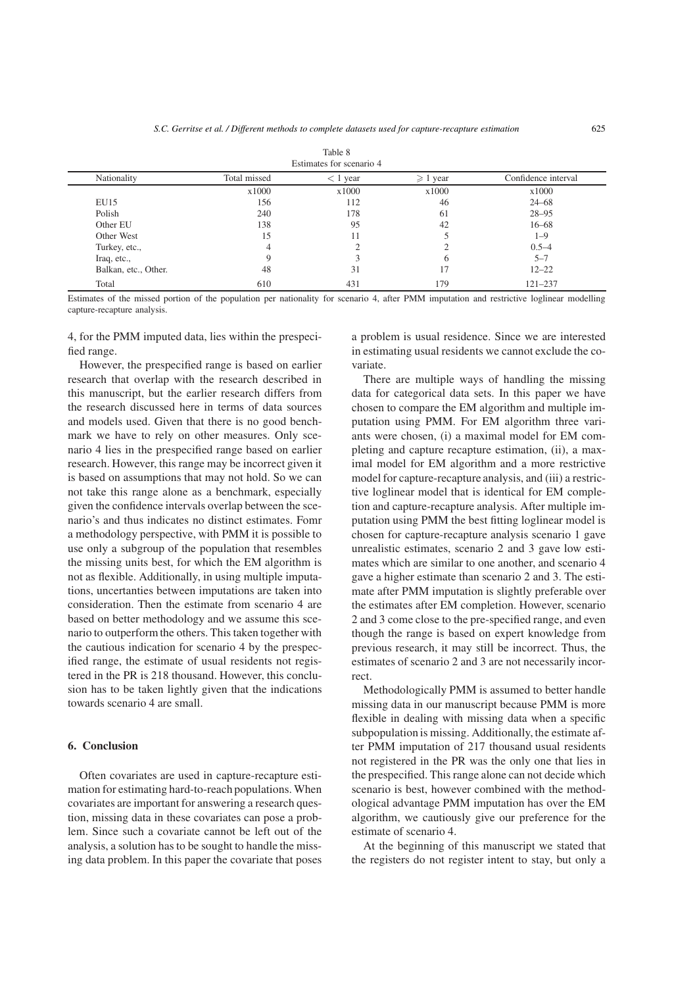| Estimates for scenario 4 |              |            |                    |                     |
|--------------------------|--------------|------------|--------------------|---------------------|
| Nationality              | Total missed | $<$ 1 year | $\geqslant$ 1 year | Confidence interval |
|                          | x1000        | x1000      | x1000              | x1000               |
| EU15                     | 156          | 112        | 46                 | $24 - 68$           |
| Polish                   | 240          | 178        | 61                 | $28 - 95$           |
| Other EU                 | 138          | 95         | 42                 | $16 - 68$           |
| Other West               | 15           | 11         |                    | $1 - 9$             |
| Turkey, etc.,            |              |            |                    | $0.5 - 4$           |
| Iraq, etc.,              | Q            |            | <sub>(</sub>       | $5 - 7$             |
| Balkan, etc., Other.     | 48           | 31         | 17                 | $12 - 22$           |
| Total                    | 610          | 431        | 179                | $121 - 237$         |

| тане о |                    |  |
|--------|--------------------|--|
|        | notos for soonario |  |

Estimates of the missed portion of the population per nationality for scenario 4, after PMM imputation and restrictive loglinear modelling capture-recapture analysis.

4, for the PMM imputed data, lies within the prespecified range.

However, the prespecified range is based on earlier research that overlap with the research described in this manuscript, but the earlier research differs from the research discussed here in terms of data sources and models used. Given that there is no good benchmark we have to rely on other measures. Only scenario 4 lies in the prespecified range based on earlier research. However, this range may be incorrect given it is based on assumptions that may not hold. So we can not take this range alone as a benchmark, especially given the confidence intervals overlap between the scenario's and thus indicates no distinct estimates. Fomr a methodology perspective, with PMM it is possible to use only a subgroup of the population that resembles the missing units best, for which the EM algorithm is not as flexible. Additionally, in using multiple imputations, uncertanties between imputations are taken into consideration. Then the estimate from scenario 4 are based on better methodology and we assume this scenario to outperform the others. This taken together with the cautious indication for scenario 4 by the prespecified range, the estimate of usual residents not registered in the PR is 218 thousand. However, this conclusion has to be taken lightly given that the indications towards scenario 4 are small.

#### 6. Conclusion

Often covariates are used in capture-recapture estimation for estimating hard-to-reach populations. When covariates are important for answering a research question, missing data in these covariates can pose a problem. Since such a covariate cannot be left out of the analysis, a solution has to be sought to handle the missing data problem. In this paper the covariate that poses a problem is usual residence. Since we are interested in estimating usual residents we cannot exclude the covariate.

There are multiple ways of handling the missing data for categorical data sets. In this paper we have chosen to compare the EM algorithm and multiple imputation using PMM. For EM algorithm three variants were chosen, (i) a maximal model for EM completing and capture recapture estimation, (ii), a maximal model for EM algorithm and a more restrictive model for capture-recapture analysis, and (iii) a restrictive loglinear model that is identical for EM completion and capture-recapture analysis. After multiple imputation using PMM the best fitting loglinear model is chosen for capture-recapture analysis scenario 1 gave unrealistic estimates, scenario 2 and 3 gave low estimates which are similar to one another, and scenario 4 gave a higher estimate than scenario 2 and 3. The estimate after PMM imputation is slightly preferable over the estimates after EM completion. However, scenario 2 and 3 come close to the pre-specified range, and even though the range is based on expert knowledge from previous research, it may still be incorrect. Thus, the estimates of scenario 2 and 3 are not necessarily incorrect.

Methodologically PMM is assumed to better handle missing data in our manuscript because PMM is more flexible in dealing with missing data when a specific subpopulation is missing. Additionally, the estimate after PMM imputation of 217 thousand usual residents not registered in the PR was the only one that lies in the prespecified. This range alone can not decide which scenario is best, however combined with the methodological advantage PMM imputation has over the EM algorithm, we cautiously give our preference for the estimate of scenario 4.

At the beginning of this manuscript we stated that the registers do not register intent to stay, but only a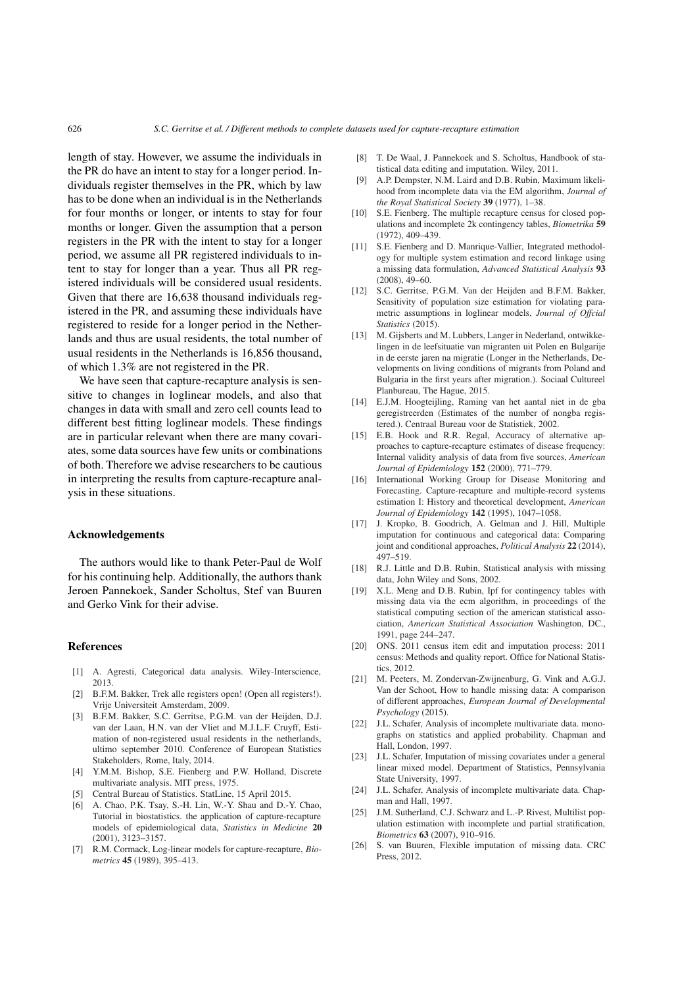length of stay. However, we assume the individuals in the PR do have an intent to stay for a longer period. Individuals register themselves in the PR, which by law has to be done when an individual is in the Netherlands for four months or longer, or intents to stay for four months or longer. Given the assumption that a person registers in the PR with the intent to stay for a longer period, we assume all PR registered individuals to intent to stay for longer than a year. Thus all PR registered individuals will be considered usual residents. Given that there are 16,638 thousand individuals registered in the PR, and assuming these individuals have registered to reside for a longer period in the Netherlands and thus are usual residents, the total number of usual residents in the Netherlands is 16,856 thousand, of which 1.3% are not registered in the PR.

We have seen that capture-recapture analysis is sensitive to changes in loglinear models, and also that changes in data with small and zero cell counts lead to different best fitting loglinear models. These findings are in particular relevant when there are many covariates, some data sources have few units or combinations of both. Therefore we advise researchers to be cautious in interpreting the results from capture-recapture analysis in these situations.

#### Acknowledgements

The authors would like to thank Peter-Paul de Wolf for his continuing help. Additionally, the authors thank Jeroen Pannekoek, Sander Scholtus, Stef van Buuren and Gerko Vink for their advise.

## References

- <span id="page-13-20"></span>[1] A. Agresti, Categorical data analysis. Wiley-Interscience, 2013.
- <span id="page-13-0"></span>[2] B.F.M. Bakker, Trek alle registers open! (Open all registers!). Vrije Universiteit Amsterdam, 2009.
- <span id="page-13-16"></span>[3] B.F.M. Bakker, S.C. Gerritse, P.G.M. van der Heijden, D.J. van der Laan, H.N. van der Vliet and M.J.L.F. Cruyff, Estimation of non-registered usual residents in the netherlands, ultimo september 2010. Conference of European Statistics Stakeholders, Rome, Italy, 2014.
- <span id="page-13-1"></span>[4] Y.M.M. Bishop, S.E. Fienberg and P.W. Holland, Discrete multivariate analysis. MIT press, 1975.
- <span id="page-13-19"></span><span id="page-13-18"></span>[5] Central Bureau of Statistics. StatLine, 15 April 2015.
- [6] A. Chao, P.K. Tsay, S.-H. Lin, W.-Y. Shau and D.-Y. Chao, Tutorial in biostatistics. the application of capture-recapture models of epidemiological data, *Statistics in Medicine* 20 (2001), 3123–3157.
- <span id="page-13-2"></span>[7] R.M. Cormack, Log-linear models for capture-recapture, *Biometrics* 45 (1989), 395–413.
- <span id="page-13-14"></span>[8] T. De Waal, J. Pannekoek and S. Scholtus, Handbook of statistical data editing and imputation. Wiley, 2011.
- <span id="page-13-5"></span>[9] A.P. Dempster, N.M. Laird and D.B. Rubin, Maximum likelihood from incomplete data via the EM algorithm, *Journal of the Royal Statistical Society* 39 (1977), 1–38.
- <span id="page-13-3"></span>[10] S.E. Fienberg. The multiple recapture census for closed populations and incomplete 2k contingency tables, *Biometrika* 59 (1972), 409–439.
- <span id="page-13-10"></span>[11] S.E. Fienberg and D. Manrique-Vallier, Integrated methodology for multiple system estimation and record linkage using a missing data formulation, *Advanced Statistical Analysis* 93 (2008), 49–60.
- <span id="page-13-6"></span>[12] S.C. Gerritse, P.G.M. Van der Heijden and B.F.M. Bakker, Sensitivity of population size estimation for violating parametric assumptions in loglinear models, *Journal of Offcial Statistics* (2015).
- <span id="page-13-21"></span>[13] M. Gijsberts and M. Lubbers, Langer in Nederland, ontwikkelingen in de leefsituatie van migranten uit Polen en Bulgarije in de eerste jaren na migratie (Longer in the Netherlands, Developments on living conditions of migrants from Poland and Bulgaria in the first years after migration.). Sociaal Cultureel Planbureau, The Hague, 2015.
- <span id="page-13-17"></span>[14] E.J.M. Hoogteijling, Raming van het aantal niet in de gba geregistreerden (Estimates of the number of nongba registered.). Centraal Bureau voor de Statistiek, 2002.
- <span id="page-13-25"></span>[15] E.B. Hook and R.R. Regal, Accuracy of alternative approaches to capture-recapture estimates of disease frequency: Internal validity analysis of data from five sources, *American Journal of Epidemiology* 152 (2000), 771–779.
- <span id="page-13-4"></span>[16] International Working Group for Disease Monitoring and Forecasting. Capture-recapture and multiple-record systems estimation I: History and theoretical development, *American Journal of Epidemiology* 142 (1995), 1047–1058.
- <span id="page-13-12"></span>[17] J. Kropko, B. Goodrich, A. Gelman and J. Hill, Multiple imputation for continuous and categorical data: Comparing joint and conditional approaches, *Political Analysis* 22 (2014), 497–519.
- <span id="page-13-8"></span>[18] R.J. Little and D.B. Rubin, Statistical analysis with missing data, John Wiley and Sons, 2002.
- <span id="page-13-22"></span>[19] X.L. Meng and D.B. Rubin, Ipf for contingency tables with missing data via the ecm algorithm, in proceedings of the statistical computing section of the american statistical association, *American Statistical Association* Washington, DC., 1991, page 244–247.
- <span id="page-13-11"></span>[20] ONS. 2011 census item edit and imputation process: 2011 census: Methods and quality report. Office for National Statistics, 2012.
- <span id="page-13-13"></span>[21] M. Peeters, M. Zondervan-Zwijnenburg, G. Vink and A.G.J. Van der Schoot, How to handle missing data: A comparison of different approaches, *European Journal of Developmental Psychology* (2015).
- <span id="page-13-23"></span>[22] J.L. Schafer, Analysis of incomplete multivariate data. monographs on statistics and applied probability. Chapman and Hall, London, 1997.
- <span id="page-13-24"></span>[23] J.L. Schafer, Imputation of missing covariates under a general linear mixed model. Department of Statistics, Pennsylvania State University, 1997.
- <span id="page-13-9"></span>[24] J.L. Schafer, Analysis of incomplete multivariate data. Chapman and Hall, 1997.
- <span id="page-13-7"></span>[25] J.M. Sutherland, C.J. Schwarz and L.-P. Rivest, Multilist population estimation with incomplete and partial stratification, *Biometrics* 63 (2007), 910–916.
- <span id="page-13-15"></span>[26] S. van Buuren, Flexible imputation of missing data. CRC Press, 2012.